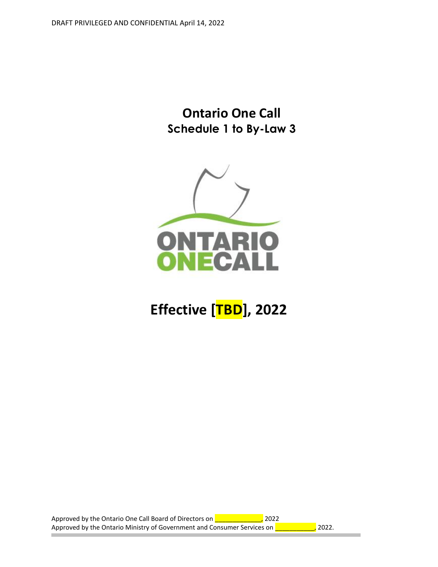**Ontario One Call Schedule 1 to By-Law 3**



# **Effective [TBD], 2022**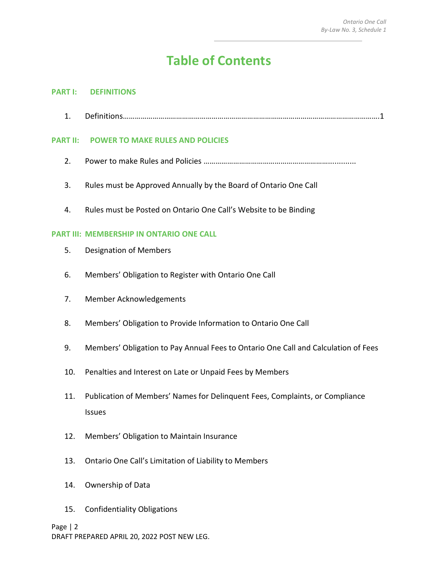# **Table of Contents**

#### **PART I: DEFINITIONS**

1. Definitions………………………………………………………………………………………………………………….1

# **PART II: POWER TO MAKE RULES AND POLICIES**

- 2. Power to make Rules and Policies ……………………………………………………….............
- 3. Rules must be Approved Annually by the Board of Ontario One Call
- 4. Rules must be Posted on Ontario One Call's Website to be Binding

# **PART III: MEMBERSHIP IN ONTARIO ONE CALL**

- 5. Designation of Members
- 6. Members' Obligation to Register with Ontario One Call
- 7. Member Acknowledgements
- 8. Members' Obligation to Provide Information to Ontario One Call
- 9. Members' Obligation to Pay Annual Fees to Ontario One Call and Calculation of Fees
- 10. Penalties and Interest on Late or Unpaid Fees by Members
- 11. Publication of Members' Names for Delinquent Fees, Complaints, or Compliance Issues
- 12. Members' Obligation to Maintain Insurance
- 13. Ontario One Call's Limitation of Liability to Members
- 14. Ownership of Data
- 15. Confidentiality Obligations

#### Page | 2

DRAFT PREPARED APRIL 20, 2022 POST NEW LEG.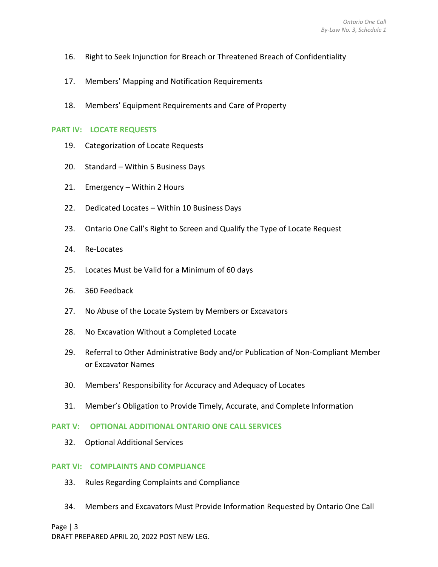- 16. Right to Seek Injunction for Breach or Threatened Breach of Confidentiality
- 17. Members' Mapping and Notification Requirements
- 18. Members' Equipment Requirements and Care of Property

#### **PART IV: LOCATE REQUESTS**

- 19. Categorization of Locate Requests
- 20. Standard Within 5 Business Days
- 21. Emergency Within 2 Hours
- 22. Dedicated Locates Within 10 Business Days
- 23. Ontario One Call's Right to Screen and Qualify the Type of Locate Request
- 24. Re-Locates
- 25. Locates Must be Valid for a Minimum of 60 days
- 26. 360 Feedback
- 27. No Abuse of the Locate System by Members or Excavators
- 28. No Excavation Without a Completed Locate
- 29. Referral to Other Administrative Body and/or Publication of Non-Compliant Member or Excavator Names
- 30. Members' Responsibility for Accuracy and Adequacy of Locates
- 31. Member's Obligation to Provide Timely, Accurate, and Complete Information

#### **PART V: OPTIONAL ADDITIONAL ONTARIO ONE CALL SERVICES**

32. Optional Additional Services

#### **PART VI: COMPLAINTS AND COMPLIANCE**

- 33. Rules Regarding Complaints and Compliance
- 34. Members and Excavators Must Provide Information Requested by Ontario One Call

Page | 3

DRAFT PREPARED APRIL 20, 2022 POST NEW LEG.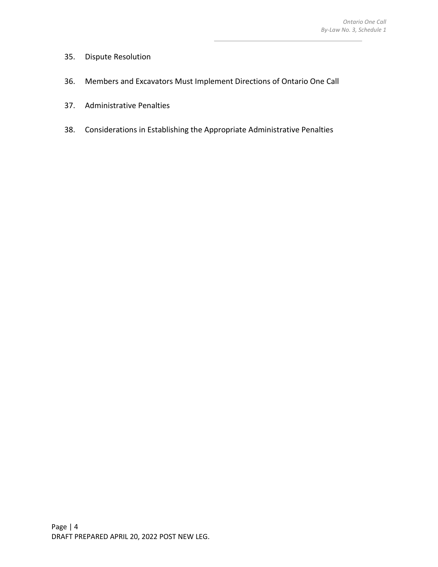- 35. Dispute Resolution
- 36. Members and Excavators Must Implement Directions of Ontario One Call
- 37. Administrative Penalties
- 38. Considerations in Establishing the Appropriate Administrative Penalties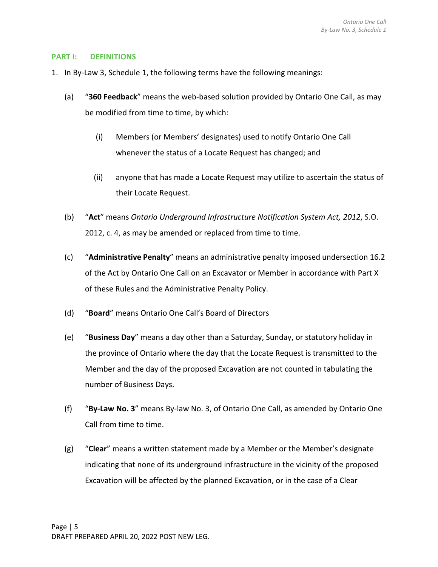#### **PART I: DEFINITIONS**

- 1. In By-Law 3, Schedule 1, the following terms have the following meanings:
	- (a) "**360 Feedback**" means the web-based solution provided by Ontario One Call, as may be modified from time to time, by which:
		- (i) Members (or Members' designates) used to notify Ontario One Call whenever the status of a Locate Request has changed; and
		- (ii) anyone that has made a Locate Request may utilize to ascertain the status of their Locate Request.
	- (b) "**Act**" means *Ontario Underground Infrastructure Notification System Act, 2012*, S.O. 2012, c. 4, as may be amended or replaced from time to time.
	- (c) "**Administrative Penalty**" means an administrative penalty imposed undersection 16.2 of the Act by Ontario One Call on an Excavator or Member in accordance with Part X of these Rules and the Administrative Penalty Policy.
	- (d) "**Board**" means Ontario One Call's Board of Directors
	- (e) "**Business Day**" means a day other than a Saturday, Sunday, or statutory holiday in the province of Ontario where the day that the Locate Request is transmitted to the Member and the day of the proposed Excavation are not counted in tabulating the number of Business Days.
	- (f) "**By-Law No. 3**" means By-law No. 3, of Ontario One Call, as amended by Ontario One Call from time to time.
	- (g) "**Clear**" means a written statement made by a Member or the Member's designate indicating that none of its underground infrastructure in the vicinity of the proposed Excavation will be affected by the planned Excavation, or in the case of a Clear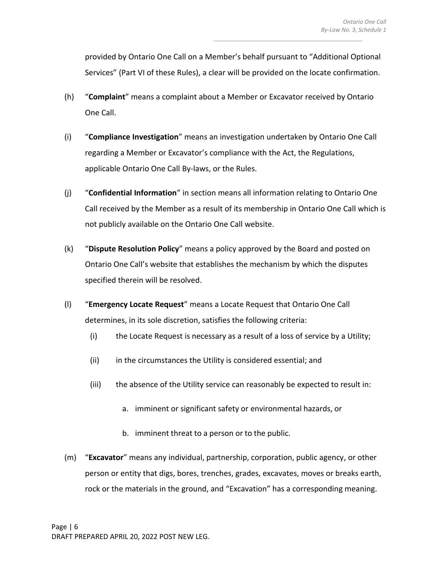provided by Ontario One Call on a Member's behalf pursuant to "Additional Optional Services" (Part VI of these Rules), a clear will be provided on the locate confirmation.

- (h) "**Complaint**" means a complaint about a Member or Excavator received by Ontario One Call.
- (i) "**Compliance Investigation**" means an investigation undertaken by Ontario One Call regarding a Member or Excavator's compliance with the Act, the Regulations, applicable Ontario One Call By-laws, or the Rules.
- (j) "**Confidential Information**" in section means all information relating to Ontario One Call received by the Member as a result of its membership in Ontario One Call which is not publicly available on the Ontario One Call website.
- (k) "**Dispute Resolution Policy**" means a policy approved by the Board and posted on Ontario One Call's website that establishes the mechanism by which the disputes specified therein will be resolved.
- (l) "**Emergency Locate Request**" means a Locate Request that Ontario One Call determines, in its sole discretion, satisfies the following criteria:
	- $(i)$  the Locate Request is necessary as a result of a loss of service by a Utility;
	- (ii) in the circumstances the Utility is considered essential; and
	- (iii) the absence of the Utility service can reasonably be expected to result in:
		- a. imminent or significant safety or environmental hazards, or
		- b. imminent threat to a person or to the public.
- (m) "**Excavator**" means any individual, partnership, corporation, public agency, or other person or entity that digs, bores, trenches, grades, excavates, moves or breaks earth, rock or the materials in the ground, and "Excavation" has a corresponding meaning.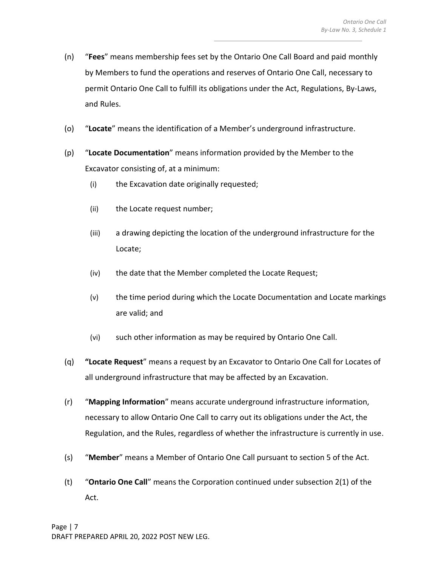- (n) "**Fees**" means membership fees set by the Ontario One Call Board and paid monthly by Members to fund the operations and reserves of Ontario One Call, necessary to permit Ontario One Call to fulfill its obligations under the Act, Regulations, By-Laws, and Rules.
- (o) "**Locate**" means the identification of a Member's underground infrastructure.
- (p) "**Locate Documentation**" means information provided by the Member to the Excavator consisting of, at a minimum:
	- (i) the Excavation date originally requested;
	- (ii) the Locate request number;
	- (iii) a drawing depicting the location of the underground infrastructure for the Locate;
	- (iv) the date that the Member completed the Locate Request;
	- (v) the time period during which the Locate Documentation and Locate markings are valid; and
	- (vi) such other information as may be required by Ontario One Call.
- (q) **"Locate Request**" means a request by an Excavator to Ontario One Call for Locates of all underground infrastructure that may be affected by an Excavation.
- (r) "**Mapping Information**" means accurate underground infrastructure information, necessary to allow Ontario One Call to carry out its obligations under the Act, the Regulation, and the Rules, regardless of whether the infrastructure is currently in use.
- (s) "**Member**" means a Member of Ontario One Call pursuant to section 5 of the Act.
- (t) "**Ontario One Call**" means the Corporation continued under subsection 2(1) of the Act.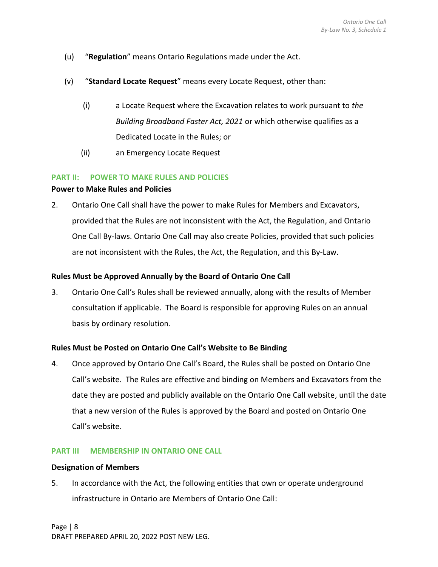- (u) "**Regulation**" means Ontario Regulations made under the Act.
- (v) "**Standard Locate Request**" means every Locate Request, other than:
	- (i) a Locate Request where the Excavation relates to work pursuant to *the Building Broadband Faster Act, 2021* or which otherwise qualifies as a Dedicated Locate in the Rules; or
	- (ii) an Emergency Locate Request

# **PART II: POWER TO MAKE RULES AND POLICIES**

# **Power to Make Rules and Policies**

2. Ontario One Call shall have the power to make Rules for Members and Excavators, provided that the Rules are not inconsistent with the Act, the Regulation, and Ontario One Call By-laws. Ontario One Call may also create Policies, provided that such policies are not inconsistent with the Rules, the Act, the Regulation, and this By-Law.

# **Rules Must be Approved Annually by the Board of Ontario One Call**

3. Ontario One Call's Rules shall be reviewed annually, along with the results of Member consultation if applicable. The Board is responsible for approving Rules on an annual basis by ordinary resolution.

# **Rules Must be Posted on Ontario One Call's Website to Be Binding**

4. Once approved by Ontario One Call's Board, the Rules shall be posted on Ontario One Call's website. The Rules are effective and binding on Members and Excavators from the date they are posted and publicly available on the Ontario One Call website, until the date that a new version of the Rules is approved by the Board and posted on Ontario One Call's website.

## **PART III MEMBERSHIP IN ONTARIO ONE CALL**

#### **Designation of Members**

5. In accordance with the Act, the following entities that own or operate underground infrastructure in Ontario are Members of Ontario One Call: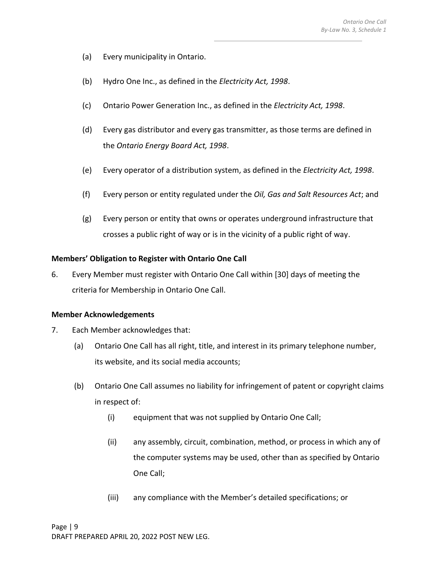- (a) Every municipality in Ontario.
- (b) Hydro One Inc., as defined in the *Electricity Act, 1998*.
- (c) Ontario Power Generation Inc., as defined in the *Electricity Act, 1998*.
- (d) Every gas distributor and every gas transmitter, as those terms are defined in the *Ontario Energy Board Act, 1998*.
- (e) Every operator of a distribution system, as defined in the *Electricity Act, 1998*.
- (f) Every person or entity regulated under the *Oil, Gas and Salt Resources Act*; and
- (g) Every person or entity that owns or operates underground infrastructure that crosses a public right of way or is in the vicinity of a public right of way.

# **Members' Obligation to Register with Ontario One Call**

6. Every Member must register with Ontario One Call within [30] days of meeting the criteria for Membership in Ontario One Call.

#### **Member Acknowledgements**

- 7. Each Member acknowledges that:
	- (a) Ontario One Call has all right, title, and interest in its primary telephone number, its website, and its social media accounts;
	- (b) Ontario One Call assumes no liability for infringement of patent or copyright claims in respect of:
		- (i) equipment that was not supplied by Ontario One Call;
		- (ii) any assembly, circuit, combination, method, or process in which any of the computer systems may be used, other than as specified by Ontario One Call;
		- (iii) any compliance with the Member's detailed specifications; or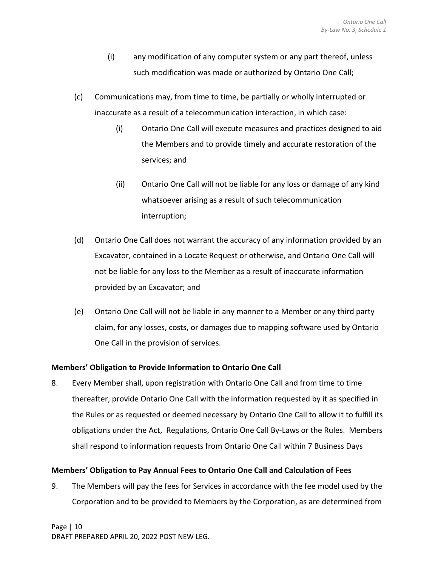- (i) any modification of any computer system or any part thereof, unless such modification was made or authorized by Ontario One Call;
- (c) Communications may, from time to time, be partially or wholly interrupted or inaccurate as a result of a telecommunication interaction, in which case:
	- (i) Ontario One Call will execute measures and practices designed to aid the Members and to provide timely and accurate restoration of the services; and
	- (ii) Ontario One Call will not be liable for any loss or damage of any kind whatsoever arising as a result of such telecommunication interruption;
- (d) Ontario One Call does not warrant the accuracy of any information provided by an Excavator, contained in a Locate Request or otherwise, and Ontario One Call will not be liable for any loss to the Member as a result of inaccurate information provided by an Excavator; and
- (e) Ontario One Call will not be liable in any manner to a Member or any third party claim, for any losses, costs, or damages due to mapping software used by Ontario One Call in the provision of services.

# **Members' Obligation to Provide Information to Ontario One Call**

8. Every Member shall, upon registration with Ontario One Call and from time to time thereafter, provide Ontario One Call with the information requested by it as specified in the Rules or as requested or deemed necessary by Ontario One Call to allow it to fulfill its obligations under the Act, Regulations, Ontario One Call By-Laws or the Rules. Members shall respond to information requests from Ontario One Call within 7 Business Days

# **Members' Obligation to Pay Annual Fees to Ontario One Call and Calculation of Fees**

9. The Members will pay the fees for Services in accordance with the fee model used by the Corporation and to be provided to Members by the Corporation, as are determined from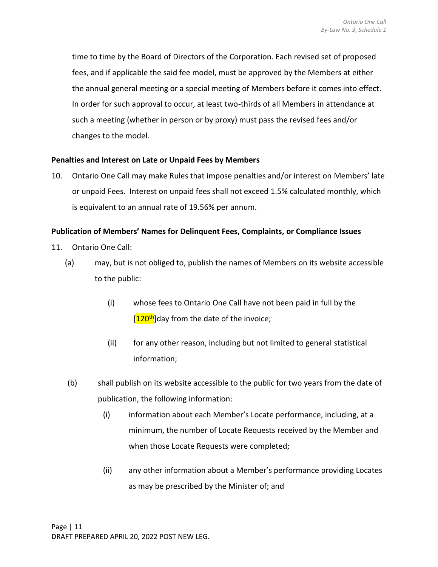time to time by the Board of Directors of the Corporation. Each revised set of proposed fees, and if applicable the said fee model, must be approved by the Members at either the annual general meeting or a special meeting of Members before it comes into effect. In order for such approval to occur, at least two-thirds of all Members in attendance at such a meeting (whether in person or by proxy) must pass the revised fees and/or changes to the model.

# **Penalties and Interest on Late or Unpaid Fees by Members**

10. Ontario One Call may make Rules that impose penalties and/or interest on Members' late or unpaid Fees. Interest on unpaid fees shall not exceed 1.5% calculated monthly, which is equivalent to an annual rate of 19.56% per annum.

# **Publication of Members' Names for Delinquent Fees, Complaints, or Compliance Issues**

- 11. Ontario One Call:
	- (a) may, but is not obliged to, publish the names of Members on its website accessible to the public:
		- (i) whose fees to Ontario One Call have not been paid in full by the  $[120<sup>th</sup>]$ day from the date of the invoice;
		- (ii) for any other reason, including but not limited to general statistical information;
	- (b) shall publish on its website accessible to the public for two years from the date of publication, the following information:
		- (i) information about each Member's Locate performance, including, at a minimum, the number of Locate Requests received by the Member and when those Locate Requests were completed;
		- (ii) any other information about a Member's performance providing Locates as may be prescribed by the Minister of; and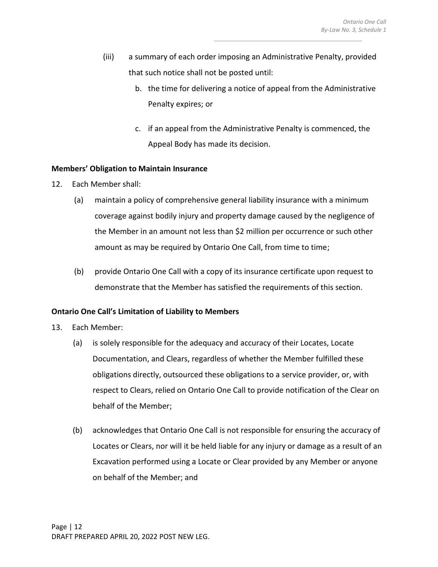- (iii) a summary of each order imposing an Administrative Penalty, provided that such notice shall not be posted until:
	- b. the time for delivering a notice of appeal from the Administrative Penalty expires; or
	- c. if an appeal from the Administrative Penalty is commenced, the Appeal Body has made its decision.

# **Members' Obligation to Maintain Insurance**

- 12. Each Member shall:
	- (a) maintain a policy of comprehensive general liability insurance with a minimum coverage against bodily injury and property damage caused by the negligence of the Member in an amount not less than \$2 million per occurrence or such other amount as may be required by Ontario One Call, from time to time;
	- (b) provide Ontario One Call with a copy of its insurance certificate upon request to demonstrate that the Member has satisfied the requirements of this section.

# **Ontario One Call's Limitation of Liability to Members**

- 13. Each Member:
	- (a) is solely responsible for the adequacy and accuracy of their Locates, Locate Documentation, and Clears, regardless of whether the Member fulfilled these obligations directly, outsourced these obligations to a service provider, or, with respect to Clears, relied on Ontario One Call to provide notification of the Clear on behalf of the Member;
	- (b) acknowledges that Ontario One Call is not responsible for ensuring the accuracy of Locates or Clears, nor will it be held liable for any injury or damage as a result of an Excavation performed using a Locate or Clear provided by any Member or anyone on behalf of the Member; and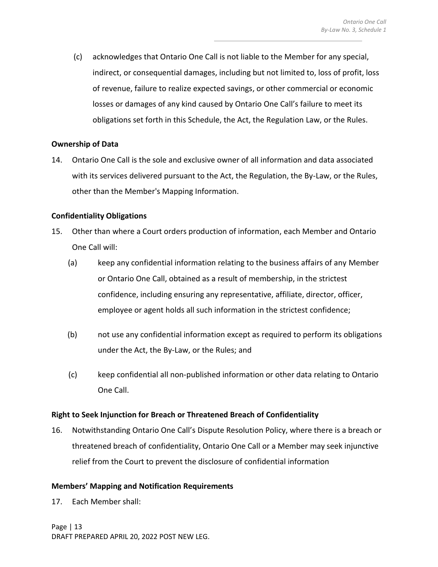(c) acknowledges that Ontario One Call is not liable to the Member for any special, indirect, or consequential damages, including but not limited to, loss of profit, loss of revenue, failure to realize expected savings, or other commercial or economic losses or damages of any kind caused by Ontario One Call's failure to meet its obligations set forth in this Schedule, the Act, the Regulation Law, or the Rules.

# **Ownership of Data**

14. Ontario One Call is the sole and exclusive owner of all information and data associated with its services delivered pursuant to the Act, the Regulation, the By-Law, or the Rules, other than the Member's Mapping Information.

# **Confidentiality Obligations**

- 15. Other than where a Court orders production of information, each Member and Ontario One Call will:
	- (a) keep any confidential information relating to the business affairs of any Member or Ontario One Call, obtained as a result of membership, in the strictest confidence, including ensuring any representative, affiliate, director, officer, employee or agent holds all such information in the strictest confidence;
	- (b) not use any confidential information except as required to perform its obligations under the Act, the By-Law, or the Rules; and
	- (c) keep confidential all non-published information or other data relating to Ontario One Call.

#### **Right to Seek Injunction for Breach or Threatened Breach of Confidentiality**

16. Notwithstanding Ontario One Call's Dispute Resolution Policy, where there is a breach or threatened breach of confidentiality, Ontario One Call or a Member may seek injunctive relief from the Court to prevent the disclosure of confidential information

# **Members' Mapping and Notification Requirements**

17. Each Member shall: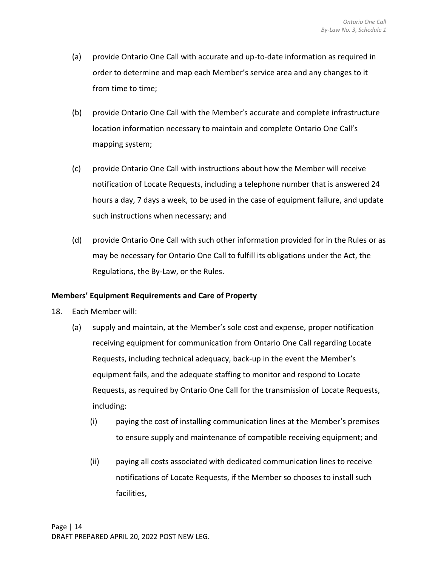- (a) provide Ontario One Call with accurate and up-to-date information as required in order to determine and map each Member's service area and any changes to it from time to time;
- (b) provide Ontario One Call with the Member's accurate and complete infrastructure location information necessary to maintain and complete Ontario One Call's mapping system;
- (c) provide Ontario One Call with instructions about how the Member will receive notification of Locate Requests, including a telephone number that is answered 24 hours a day, 7 days a week, to be used in the case of equipment failure, and update such instructions when necessary; and
- (d) provide Ontario One Call with such other information provided for in the Rules or as may be necessary for Ontario One Call to fulfill its obligations under the Act, the Regulations, the By-Law, or the Rules.

# **Members' Equipment Requirements and Care of Property**

- 18. Each Member will:
	- (a) supply and maintain, at the Member's sole cost and expense, proper notification receiving equipment for communication from Ontario One Call regarding Locate Requests, including technical adequacy, back-up in the event the Member's equipment fails, and the adequate staffing to monitor and respond to Locate Requests, as required by Ontario One Call for the transmission of Locate Requests, including:
		- (i) paying the cost of installing communication lines at the Member's premises to ensure supply and maintenance of compatible receiving equipment; and
		- (ii) paying all costs associated with dedicated communication lines to receive notifications of Locate Requests, if the Member so chooses to install such facilities,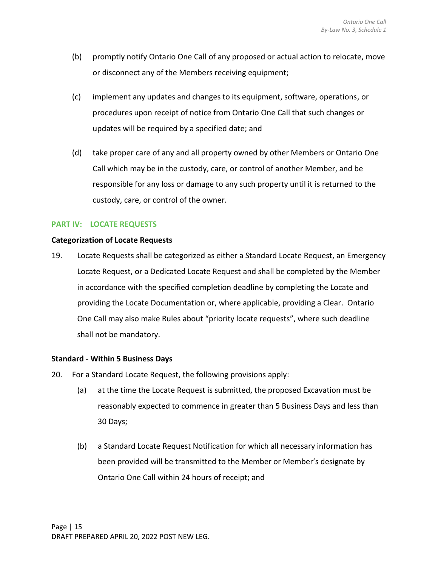- (b) promptly notify Ontario One Call of any proposed or actual action to relocate, move or disconnect any of the Members receiving equipment;
- (c) implement any updates and changes to its equipment, software, operations, or procedures upon receipt of notice from Ontario One Call that such changes or updates will be required by a specified date; and
- (d) take proper care of any and all property owned by other Members or Ontario One Call which may be in the custody, care, or control of another Member, and be responsible for any loss or damage to any such property until it is returned to the custody, care, or control of the owner.

#### **PART IV: LOCATE REQUESTS**

#### **Categorization of Locate Requests**

19. Locate Requests shall be categorized as either a Standard Locate Request, an Emergency Locate Request, or a Dedicated Locate Request and shall be completed by the Member in accordance with the specified completion deadline by completing the Locate and providing the Locate Documentation or, where applicable, providing a Clear. Ontario One Call may also make Rules about "priority locate requests", where such deadline shall not be mandatory.

#### **Standard - Within 5 Business Days**

- 20. For a Standard Locate Request, the following provisions apply:
	- (a) at the time the Locate Request is submitted, the proposed Excavation must be reasonably expected to commence in greater than 5 Business Days and less than 30 Days;
	- (b) a Standard Locate Request Notification for which all necessary information has been provided will be transmitted to the Member or Member's designate by Ontario One Call within 24 hours of receipt; and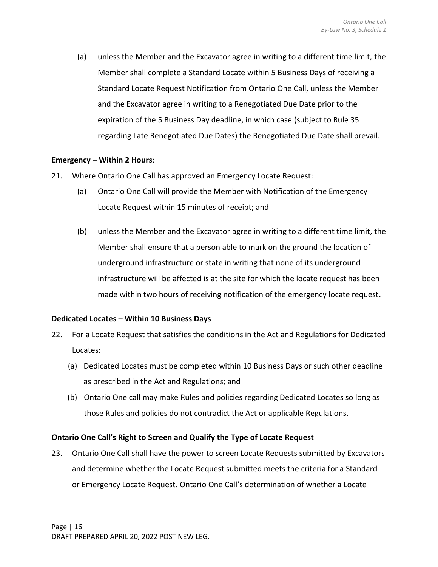(a) unless the Member and the Excavator agree in writing to a different time limit, the Member shall complete a Standard Locate within 5 Business Days of receiving a Standard Locate Request Notification from Ontario One Call, unless the Member and the Excavator agree in writing to a Renegotiated Due Date prior to the expiration of the 5 Business Day deadline, in which case (subject to Rule 35 regarding Late Renegotiated Due Dates) the Renegotiated Due Date shall prevail.

# **Emergency – Within 2 Hours**:

- 21. Where Ontario One Call has approved an Emergency Locate Request:
	- (a) Ontario One Call will provide the Member with Notification of the Emergency Locate Request within 15 minutes of receipt; and
	- (b) unless the Member and the Excavator agree in writing to a different time limit, the Member shall ensure that a person able to mark on the ground the location of underground infrastructure or state in writing that none of its underground infrastructure will be affected is at the site for which the locate request has been made within two hours of receiving notification of the emergency locate request.

#### **Dedicated Locates – Within 10 Business Days**

- 22. For a Locate Request that satisfies the conditions in the Act and Regulations for Dedicated Locates:
	- (a) Dedicated Locates must be completed within 10 Business Days or such other deadline as prescribed in the Act and Regulations; and
	- (b) Ontario One call may make Rules and policies regarding Dedicated Locates so long as those Rules and policies do not contradict the Act or applicable Regulations.

# **Ontario One Call's Right to Screen and Qualify the Type of Locate Request**

23. Ontario One Call shall have the power to screen Locate Requests submitted by Excavators and determine whether the Locate Request submitted meets the criteria for a Standard or Emergency Locate Request. Ontario One Call's determination of whether a Locate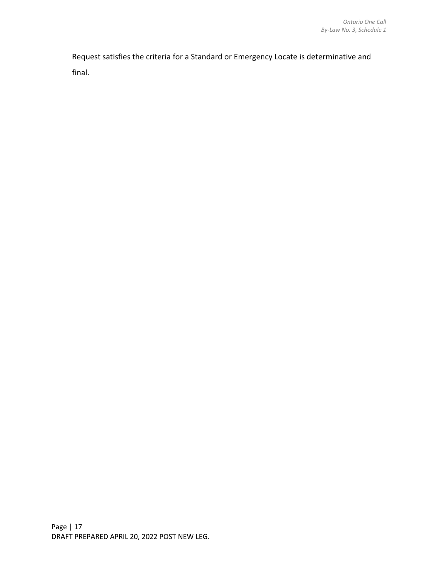Request satisfies the criteria for a Standard or Emergency Locate is determinative and final.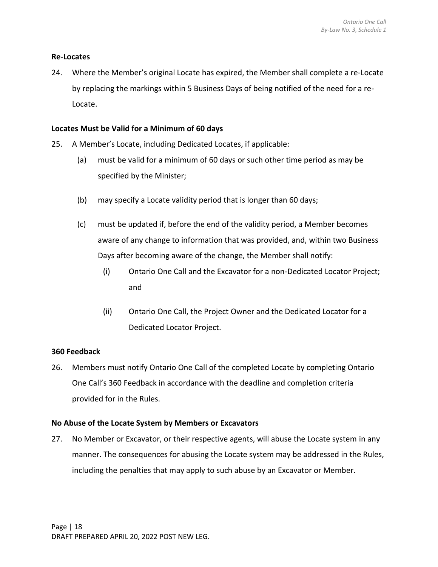# **Re-Locates**

24. Where the Member's original Locate has expired, the Member shall complete a re-Locate by replacing the markings within 5 Business Days of being notified of the need for a re-Locate.

# **Locates Must be Valid for a Minimum of 60 days**

- 25. A Member's Locate, including Dedicated Locates, if applicable:
	- (a) must be valid for a minimum of 60 days or such other time period as may be specified by the Minister;
	- (b) may specify a Locate validity period that is longer than 60 days;
	- (c) must be updated if, before the end of the validity period, a Member becomes aware of any change to information that was provided, and, within two Business Days after becoming aware of the change, the Member shall notify:
		- (i) Ontario One Call and the Excavator for a non-Dedicated Locator Project; and
		- (ii) Ontario One Call, the Project Owner and the Dedicated Locator for a Dedicated Locator Project.

# **360 Feedback**

26. Members must notify Ontario One Call of the completed Locate by completing Ontario One Call's 360 Feedback in accordance with the deadline and completion criteria provided for in the Rules.

#### **No Abuse of the Locate System by Members or Excavators**

27. No Member or Excavator, or their respective agents, will abuse the Locate system in any manner. The consequences for abusing the Locate system may be addressed in the Rules, including the penalties that may apply to such abuse by an Excavator or Member.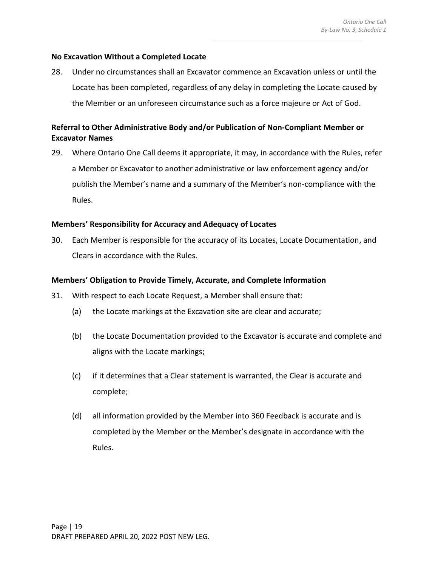# **No Excavation Without a Completed Locate**

28. Under no circumstances shall an Excavator commence an Excavation unless or until the Locate has been completed, regardless of any delay in completing the Locate caused by the Member or an unforeseen circumstance such as a force majeure or Act of God.

# **Referral to Other Administrative Body and/or Publication of Non-Compliant Member or Excavator Names**

29. Where Ontario One Call deems it appropriate, it may, in accordance with the Rules, refer a Member or Excavator to another administrative or law enforcement agency and/or publish the Member's name and a summary of the Member's non-compliance with the Rules.

# **Members' Responsibility for Accuracy and Adequacy of Locates**

30. Each Member is responsible for the accuracy of its Locates, Locate Documentation, and Clears in accordance with the Rules.

## **Members' Obligation to Provide Timely, Accurate, and Complete Information**

- 31. With respect to each Locate Request, a Member shall ensure that:
	- (a) the Locate markings at the Excavation site are clear and accurate;
	- (b) the Locate Documentation provided to the Excavator is accurate and complete and aligns with the Locate markings;
	- (c) if it determines that a Clear statement is warranted, the Clear is accurate and complete;
	- (d) all information provided by the Member into 360 Feedback is accurate and is completed by the Member or the Member's designate in accordance with the Rules.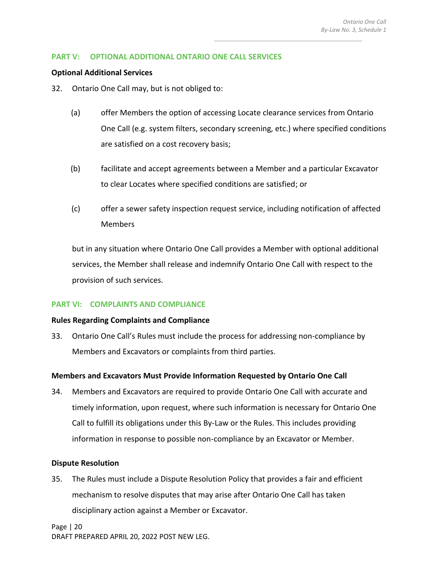# **PART V: OPTIONAL ADDITIONAL ONTARIO ONE CALL SERVICES**

#### **Optional Additional Services**

- 32. Ontario One Call may, but is not obliged to:
	- (a) offer Members the option of accessing Locate clearance services from Ontario One Call (e.g. system filters, secondary screening, etc.) where specified conditions are satisfied on a cost recovery basis;
	- (b) facilitate and accept agreements between a Member and a particular Excavator to clear Locates where specified conditions are satisfied; or
	- (c) offer a sewer safety inspection request service, including notification of affected Members

but in any situation where Ontario One Call provides a Member with optional additional services, the Member shall release and indemnify Ontario One Call with respect to the provision of such services.

#### **PART VI: COMPLAINTS AND COMPLIANCE**

#### **Rules Regarding Complaints and Compliance**

33. Ontario One Call's Rules must include the process for addressing non-compliance by Members and Excavators or complaints from third parties.

# **Members and Excavators Must Provide Information Requested by Ontario One Call**

34. Members and Excavators are required to provide Ontario One Call with accurate and timely information, upon request, where such information is necessary for Ontario One Call to fulfill its obligations under this By-Law or the Rules. This includes providing information in response to possible non-compliance by an Excavator or Member.

#### **Dispute Resolution**

35. The Rules must include a Dispute Resolution Policy that provides a fair and efficient mechanism to resolve disputes that may arise after Ontario One Call has taken disciplinary action against a Member or Excavator.

Page | 20 DRAFT PREPARED APRIL 20, 2022 POST NEW LEG.